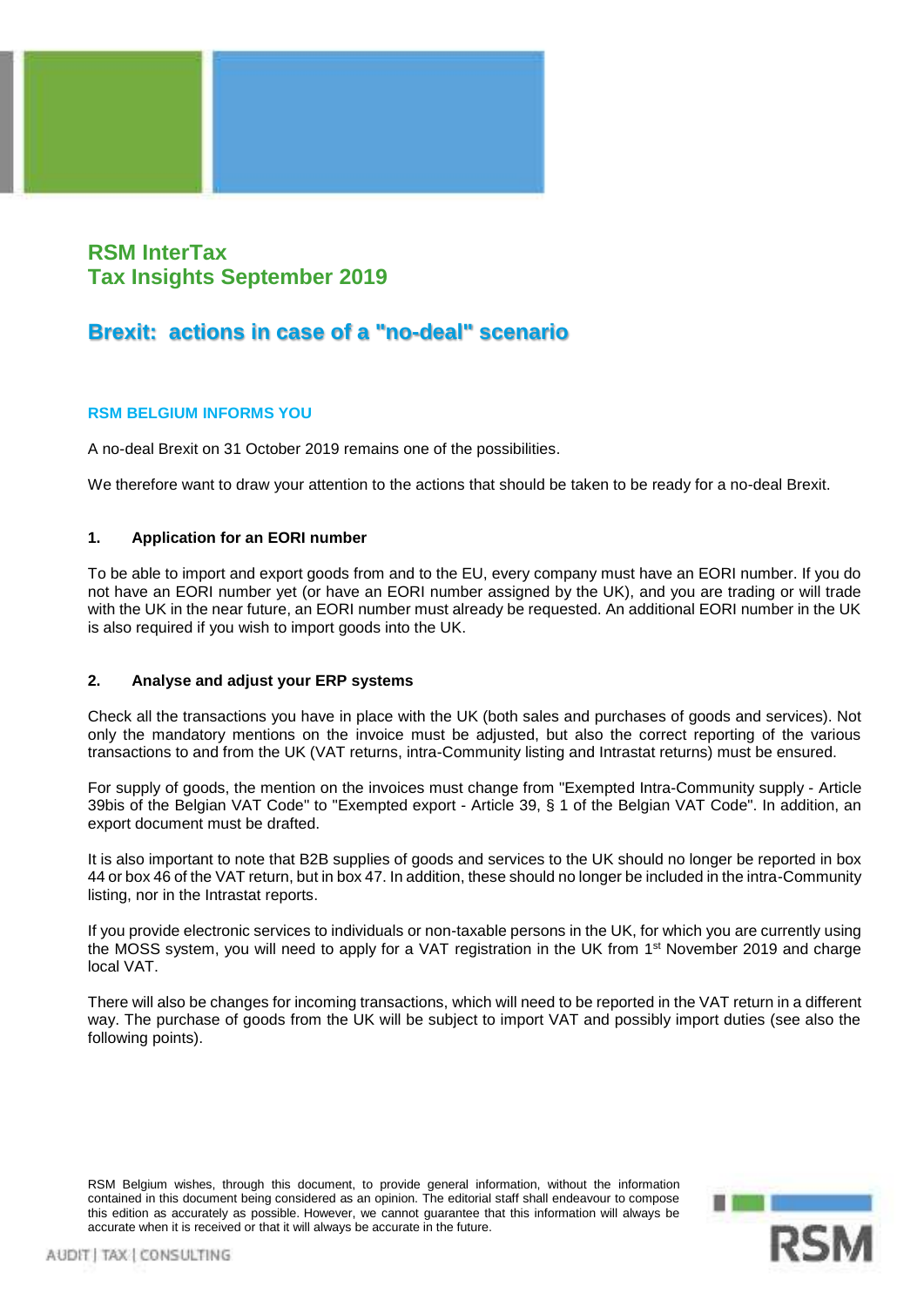# **RSM InterTax Tax Insights September 2019**

# **Brexit: actions in case of a "no-deal" scenario**

# **RSM BELGIUM INFORMS YOU**

A no-deal Brexit on 31 October 2019 remains one of the possibilities.

We therefore want to draw your attention to the actions that should be taken to be ready for a no-deal Brexit.

## **1. Application for an EORI number**

To be able to import and export goods from and to the EU, every company must have an EORI number. If you do not have an EORI number yet (or have an EORI number assigned by the UK), and you are trading or will trade with the UK in the near future, an EORI number must already be requested. An additional EORI number in the UK is also required if you wish to import goods into the UK.

## **2. Analyse and adjust your ERP systems**

Check all the transactions you have in place with the UK (both sales and purchases of goods and services). Not only the mandatory mentions on the invoice must be adjusted, but also the correct reporting of the various transactions to and from the UK (VAT returns, intra-Community listing and Intrastat returns) must be ensured.

For supply of goods, the mention on the invoices must change from "Exempted Intra-Community supply - Article 39bis of the Belgian VAT Code" to "Exempted export - Article 39, § 1 of the Belgian VAT Code". In addition, an export document must be drafted.

It is also important to note that B2B supplies of goods and services to the UK should no longer be reported in box 44 or box 46 of the VAT return, but in box 47. In addition, these should no longer be included in the intra-Community listing, nor in the Intrastat reports.

If you provide electronic services to individuals or non-taxable persons in the UK, for which you are currently using the MOSS system, you will need to apply for a VAT registration in the UK from 1<sup>st</sup> November 2019 and charge local VAT.

There will also be changes for incoming transactions, which will need to be reported in the VAT return in a different way. The purchase of goods from the UK will be subject to import VAT and possibly import duties (see also the following points).

RSM Belgium wishes, through this document, to provide general information, without the information contained in this document being considered as an opinion. The editorial staff shall endeavour to compose this edition as accurately as possible. However, we cannot guarantee that this information will always be accurate when it is received or that it will always be accurate in the future.

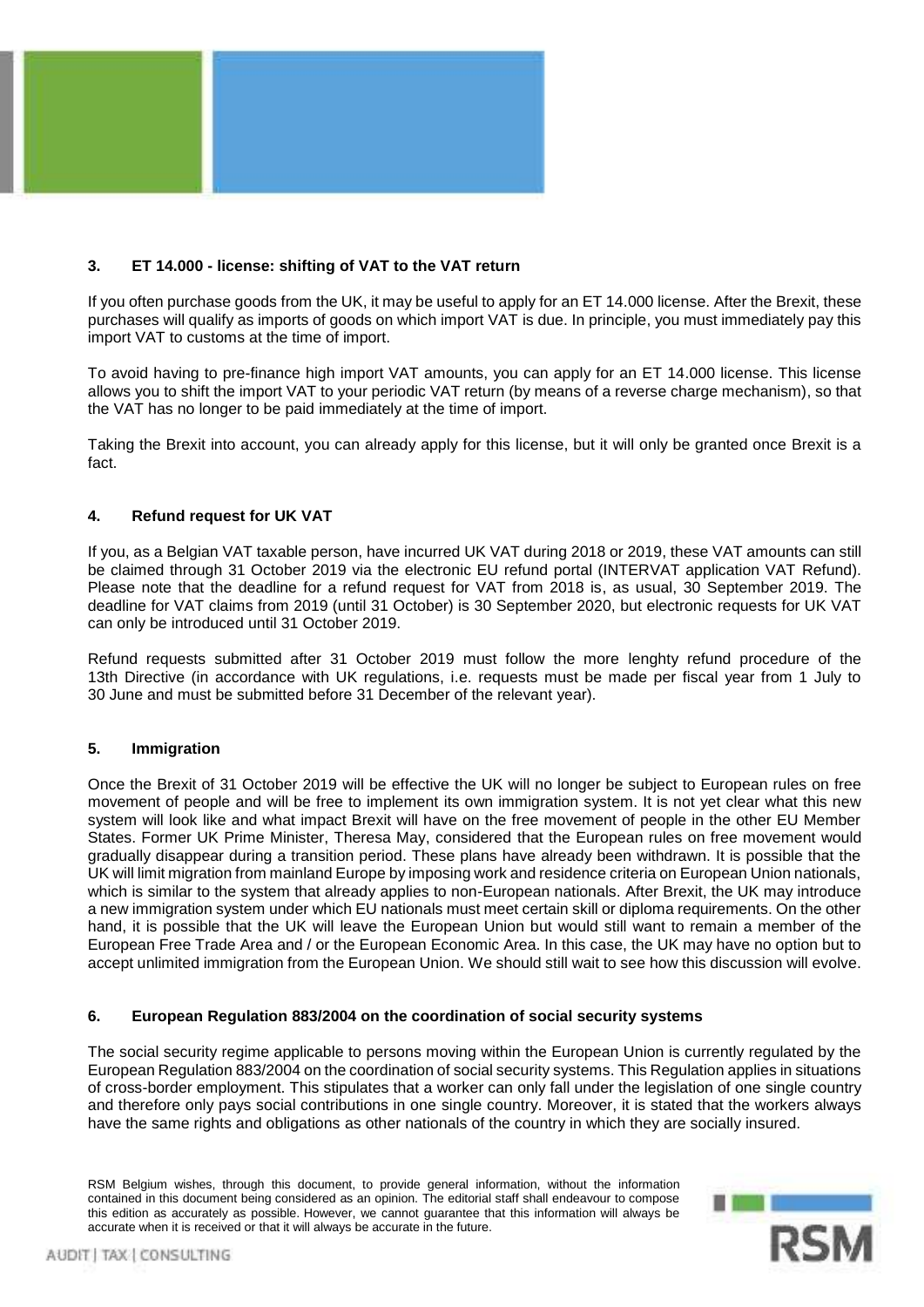

#### **3. ET 14.000 - license: shifting of VAT to the VAT return**

If you often purchase goods from the UK, it may be useful to apply for an ET 14.000 license. After the Brexit, these purchases will qualify as imports of goods on which import VAT is due. In principle, you must immediately pay this import VAT to customs at the time of import.

To avoid having to pre-finance high import VAT amounts, you can apply for an ET 14.000 license. This license allows you to shift the import VAT to your periodic VAT return (by means of a reverse charge mechanism), so that the VAT has no longer to be paid immediately at the time of import.

Taking the Brexit into account, you can already apply for this license, but it will only be granted once Brexit is a fact.

#### **4. Refund request for UK VAT**

If you, as a Belgian VAT taxable person, have incurred UK VAT during 2018 or 2019, these VAT amounts can still be claimed through 31 October 2019 via the electronic EU refund portal (INTERVAT application VAT Refund). Please note that the deadline for a refund request for VAT from 2018 is, as usual, 30 September 2019. The deadline for VAT claims from 2019 (until 31 October) is 30 September 2020, but electronic requests for UK VAT can only be introduced until 31 October 2019.

Refund requests submitted after 31 October 2019 must follow the more lenghty refund procedure of the 13th Directive (in accordance with UK regulations, i.e. requests must be made per fiscal year from 1 July to 30 June and must be submitted before 31 December of the relevant year).

#### **5. Immigration**

Once the Brexit of 31 October 2019 will be effective the UK will no longer be subject to European rules on free movement of people and will be free to implement its own immigration system. It is not yet clear what this new system will look like and what impact Brexit will have on the free movement of people in the other EU Member States. Former UK Prime Minister, Theresa May, considered that the European rules on free movement would gradually disappear during a transition period. These plans have already been withdrawn. It is possible that the UK will limit migration from mainland Europe by imposing work and residence criteria on European Union nationals, which is similar to the system that already applies to non-European nationals. After Brexit, the UK may introduce a new immigration system under which EU nationals must meet certain skill or diploma requirements. On the other hand, it is possible that the UK will leave the European Union but would still want to remain a member of the European Free Trade Area and / or the European Economic Area. In this case, the UK may have no option but to accept unlimited immigration from the European Union. We should still wait to see how this discussion will evolve.

#### **6. European Regulation 883/2004 on the coordination of social security systems**

The social security regime applicable to persons moving within the European Union is currently regulated by the European Regulation 883/2004 on the coordination of social security systems. This Regulation applies in situations of cross-border employment. This stipulates that a worker can only fall under the legislation of one single country and therefore only pays social contributions in one single country. Moreover, it is stated that the workers always have the same rights and obligations as other nationals of the country in which they are socially insured.

RSM Belgium wishes, through this document, to provide general information, without the information contained in this document being considered as an opinion. The editorial staff shall endeavour to compose this edition as accurately as possible. However, we cannot guarantee that this information will always be accurate when it is received or that it will always be accurate in the future.

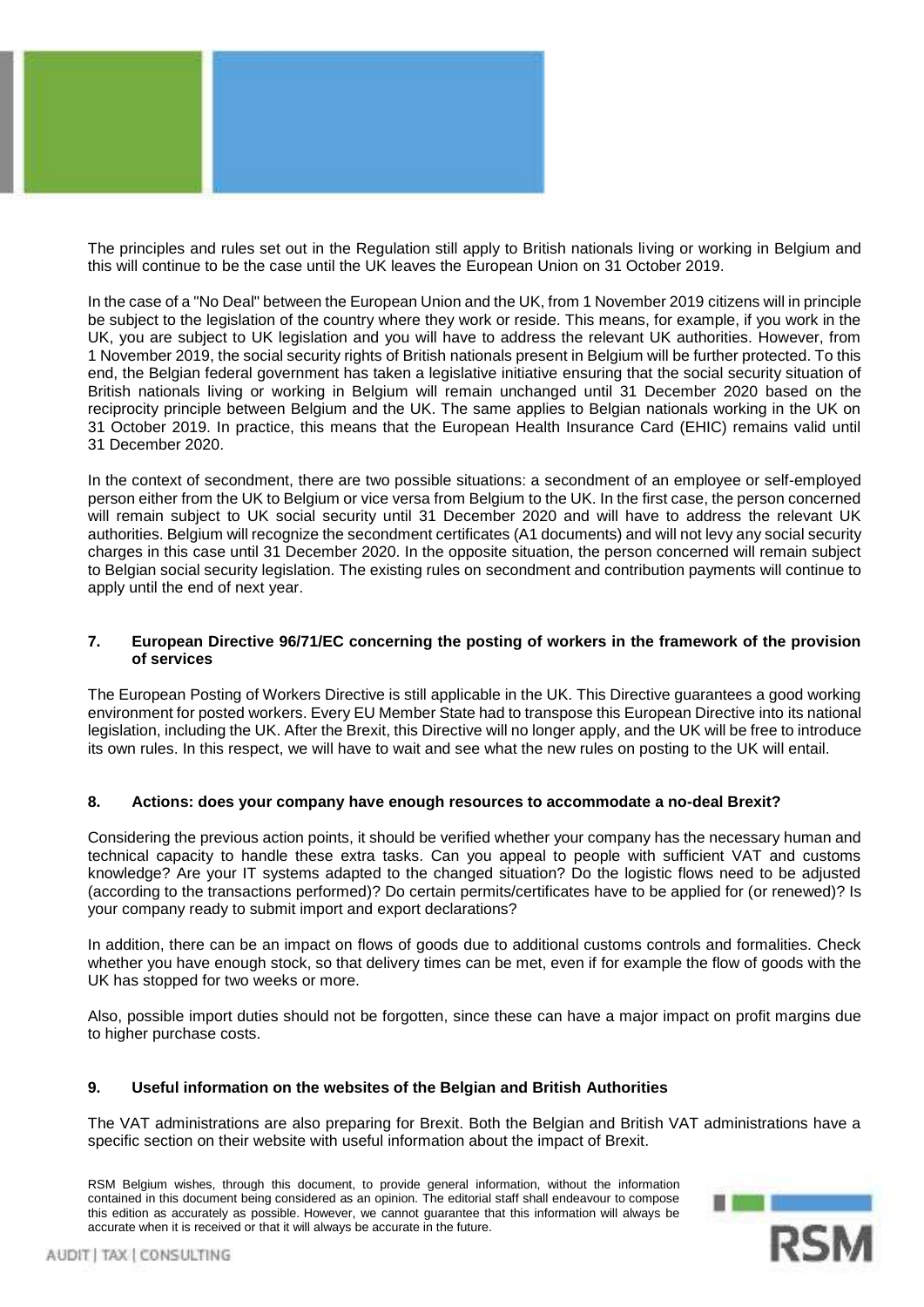

The principles and rules set out in the Regulation still apply to British nationals living or working in Belgium and this will continue to be the case until the UK leaves the European Union on 31 October 2019.

In the case of a "No Deal" between the European Union and the UK, from 1 November 2019 citizens will in principle be subject to the legislation of the country where they work or reside. This means, for example, if you work in the UK, you are subject to UK legislation and you will have to address the relevant UK authorities. However, from 1 November 2019, the social security rights of British nationals present in Belgium will be further protected. To this end, the Belgian federal government has taken a legislative initiative ensuring that the social security situation of British nationals living or working in Belgium will remain unchanged until 31 December 2020 based on the reciprocity principle between Belgium and the UK. The same applies to Belgian nationals working in the UK on 31 October 2019. In practice, this means that the European Health Insurance Card (EHIC) remains valid until 31 December 2020.

In the context of secondment, there are two possible situations: a secondment of an employee or self-employed person either from the UK to Belgium or vice versa from Belgium to the UK. In the first case, the person concerned will remain subject to UK social security until 31 December 2020 and will have to address the relevant UK authorities. Belgium will recognize the secondment certificates (A1 documents) and will not levy any social security charges in this case until 31 December 2020. In the opposite situation, the person concerned will remain subject to Belgian social security legislation. The existing rules on secondment and contribution payments will continue to apply until the end of next year.

#### **7. European Directive 96/71/EC concerning the posting of workers in the framework of the provision of services**

The European Posting of Workers Directive is still applicable in the UK. This Directive guarantees a good working environment for posted workers. Every EU Member State had to transpose this European Directive into its national legislation, including the UK. After the Brexit, this Directive will no longer apply, and the UK will be free to introduce its own rules. In this respect, we will have to wait and see what the new rules on posting to the UK will entail.

#### **8. Actions: does your company have enough resources to accommodate a no-deal Brexit?**

Considering the previous action points, it should be verified whether your company has the necessary human and technical capacity to handle these extra tasks. Can you appeal to people with sufficient VAT and customs knowledge? Are your IT systems adapted to the changed situation? Do the logistic flows need to be adjusted (according to the transactions performed)? Do certain permits/certificates have to be applied for (or renewed)? Is your company ready to submit import and export declarations?

In addition, there can be an impact on flows of goods due to additional customs controls and formalities. Check whether you have enough stock, so that delivery times can be met, even if for example the flow of goods with the UK has stopped for two weeks or more.

Also, possible import duties should not be forgotten, since these can have a major impact on profit margins due to higher purchase costs.

#### **9. Useful information on the websites of the Belgian and British Authorities**

The VAT administrations are also preparing for Brexit. Both the Belgian and British VAT administrations have a specific section on their website with useful information about the impact of Brexit.

RSM Belgium wishes, through this document, to provide general information, without the information contained in this document being considered as an opinion. The editorial staff shall endeavour to compose this edition as accurately as possible. However, we cannot guarantee that this information will always be accurate when it is received or that it will always be accurate in the future.